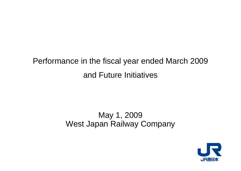# Performance in the fiscal year ended March 2009 and Future Initiatives

# May 1, 2009 West Japan Railway Company

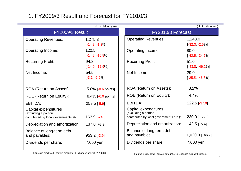# 1. FY2009/3 Result and Forecast for FY2010/3

|                                                                                         | (Unit: billion yen)         |                   |                                                                                         | (Unit: billion yen)          |
|-----------------------------------------------------------------------------------------|-----------------------------|-------------------|-----------------------------------------------------------------------------------------|------------------------------|
| FY2009/3 Result                                                                         |                             | FY2010/3 Forecast |                                                                                         |                              |
| <b>Operating Revenues:</b><br>1,275.3<br>$[-14.8, -1.2\%]$                              |                             |                   | <b>Operating Revenues:</b>                                                              | 1,243.0<br>$[-32.3, -2.5\%]$ |
| <b>Operating Income:</b>                                                                | 122.5<br>$[-14.8, -10.8\%]$ |                   | <b>Operating Income:</b>                                                                | 80.0<br>$[-42.5, -34.7\%]$   |
| <b>Recurring Profit:</b>                                                                | 94.8<br>$[-14.0, -12.9\%]$  |                   | <b>Recurring Profit:</b>                                                                | 51.0<br>$[-43.8, -46.2\%]$   |
| Net Income:                                                                             | 54.5<br>$[-3.1, -5.5\%]$    |                   | Net Income:                                                                             | 29.0<br>$[-25.5, -46.8\%]$   |
| ROA (Return on Assets):                                                                 | 5.0% [-0.6 points]          |                   | ROA (Return on Assets):                                                                 | 3.2%                         |
| ROE (Return on Equity):                                                                 | 8.4% [-0.9 points]          |                   | ROE (Return on Equity):                                                                 | 4.4%                         |
| <b>EBITDA:</b>                                                                          | $259.5$ [-5.9]              |                   | EBITDA:                                                                                 | 222.5 [-37.0]                |
| Capital expenditures<br>(excluding a portion<br>contributed by local governments etc.): | 163.9 [-24.0]               |                   | Capital expenditures<br>(excluding a portion<br>contributed by local governments etc.): | 230.0 [+66.0]                |
| Depreciation and amortization:                                                          | $137.0$ [+8.9]              |                   | Depreciation and amortization:                                                          | $142.5$ [+5.4]               |
| Balance of long-term debt<br>and payables:                                              | $953.2$ [-3.9]              |                   | Balance of long-term debt<br>and payables:                                              | 1,020.0 [+66.7]              |
| Dividends per share:                                                                    | 7,000 yen                   |                   | Dividends per share:                                                                    | 7,000 yen                    |
|                                                                                         |                             |                   |                                                                                         |                              |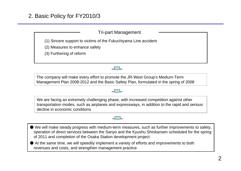### Tri-part Management

(1) Sincere support to victims of the Fukuchiyama Line accident

(2) Measures to enhance safety

(3) Furthering of reform



The company will make every effort to promote the JR-West Group's Medium-Term Management Plan 2008-2012 and the Basic Safety Plan, formulated in the spring of 2008

We are facing an extremely challenging phase, with increased competition against other transportation modes, such as airplanes and expressways, in addition to the rapid and serious decline in economic conditions

● We will make steady progress with medium-term measures, such as further improvements to safety, operation of direct services between the Sanyo and the Kyushu Shinkansen scheduled for the spring of 2011 and completion of the Osaka Station development project

● At the same time, we will speedily implement a variety of efforts and improvements to both revenues and costs, and strengthen management practice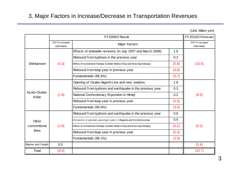# 3. Major Factors in Increase/Decrease in Transportation Revenues

(Unit: billion yen)

|                      |                               |                                                                              | FY2010/3 Forecast             |        |  |
|----------------------|-------------------------------|------------------------------------------------------------------------------|-------------------------------|--------|--|
|                      | YOY % increase/<br>(decrease) | <b>Major Factors</b>                                                         | YOY % increase/<br>(decrease) |        |  |
|                      |                               | Effects of timetable revisions (in July 2007 and March 2008)                 | 1.6                           |        |  |
|                      |                               | Rebound from typhoon in the previous year                                    | 0.2                           |        |  |
| Shinkansen           | (4.3)                         | Effects of inconvenient holidays (Golden Week in May and three-day holidays) | (0.8)                         | (10.5) |  |
|                      |                               | Rebound from leap year in previous year                                      | (0.8)                         |        |  |
|                      |                               | Fundamentals (98.3%)                                                         | (5.7)                         |        |  |
|                      | (1.8)                         | Opening of Osaka Higashi Line and new stations                               | 1.8                           |        |  |
|                      |                               | Rebound from typhoon and earthquake in the previous year                     | 0.3                           |        |  |
| Kyoto-Osaka-<br>Kobe |                               | National Confectionary Exposition in Himeji                                  | 0.2                           | (6.5)  |  |
|                      |                               | Rebound from leap year in previous year                                      | (0.5)                         |        |  |
|                      |                               | Fundamentals (99.0%)                                                         | (3.0)                         |        |  |
|                      |                               | Rebound from typhoon and earthquake in the previous year                     | 0.6                           |        |  |
| Other                |                               | Introduction of automatic passenger gates in Okayama and Hiroshima areas     | 0.5                           |        |  |
| conventional         | (1.8)                         | Effects of inconvenient holidays (Golden Week in May and three-day holidays) | (0.2)                         | (5.2)  |  |
| lines                |                               | Rebound from leap year in previous year                                      | (0.3)                         |        |  |
|                      |                               | Fundamentals (98.1%)                                                         | (2.5)                         |        |  |
| Marine and freight   | 0.0                           |                                                                              |                               | (0.4)  |  |
| Total                | (8.0)                         |                                                                              |                               | (22.7) |  |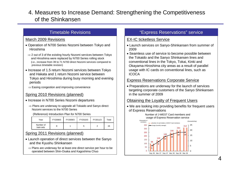# 4. Measures to Increase Demand: Strengthening the Competitiveness of the Shinkansen

### Timetable Revisions

#### March 2009 Revisions

- Operation of N700 Series Nozomi between Tokyo and Hiroshima
- $\Rightarrow$  2 out of 3 of the existing hourly Nozomi services between Tokyo and Hiroshima were replaced by N700 Series rolling stock (i.e., increase from 39 to 71 N700 direct Nozomi services compared to previous timetable revision)
- Increase of 1.5 return Nozomi services between Tokyo and Hakata and 1 return Nozomi service between Tokyo and Hiroshima during busy morning and evening periods
- $\Rightarrow$  Easing congestion and improving convenience

### Spring 2010 Revisions (planned)

- Increase in N700 Series Nozomi departures
	- ⇒ Plans are underway to upgrade all Tokaido and Sanyo direct Nozomi services to the N700 Series

#### (Reference) Introduction Plan for N700 Series

| Year                    | FY2008/3 | FY2009/3 | FY2010/3 | FY2011/3 | Total |
|-------------------------|----------|----------|----------|----------|-------|
| Number of<br>train-sets |          |          |          |          | 16    |

### Spring 2011 Revisions (planned)

- Launch operation of direct services between the Sanyo and the Kyushu Shinkansen
	- $\Rightarrow$  Plans are underway for at least one direct service per hour to be operated between Shin-Osaka and Kagoshima Chuo

### "Express Reservations" service

#### EX-IC ticketless Service

- Launch services on Sanyo-Shinkansen from summer of 2009
- Seamless use of service to become possible between the Tokaido and the Sanyo Shinkansen lines and conventional lines in the Tokyo, Tokai, Kinki and Okayama-Hiroshima city areas as a result of parallel usage with IC cards on conventional lines, such as **ICOCA**

#### Express Reservations Corporate Service

• Preparations are underway for the launch of services targeting corporate customers of the Sanyo Shinkansen in the summer of 2009

### Obtaining the Loyalty of Frequent Users

• We are looking into providing benefits for frequent users of Express Reservations

Number of J-WEST Card members and

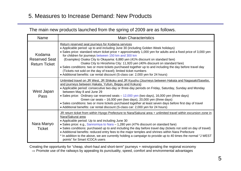# 5. Measures to Increase Demand: New Products

## The main new products launched from the spring of 2009 are as follows.

| <b>Name</b>                                            | <b>Main Characteristics</b>                                                                                                                                                                                                                                                                                                                                                                                                                                                                                                                                                                                                                                                                                                                    |
|--------------------------------------------------------|------------------------------------------------------------------------------------------------------------------------------------------------------------------------------------------------------------------------------------------------------------------------------------------------------------------------------------------------------------------------------------------------------------------------------------------------------------------------------------------------------------------------------------------------------------------------------------------------------------------------------------------------------------------------------------------------------------------------------------------------|
| Kodama<br><b>Reserved Seat</b><br><b>Return Ticket</b> | Return reserved seat journeys for Kodama services<br>• Applicable period: up to and including June 30 (including Golden Week holidays)<br>• Sales price: standard return ticket price + approximately 1,000 yen for adults and a fixed price of 3,000 yen<br>for children for journeys between 150 km and 300 km<br>(Examples) Osaka City to Okayama: 6,880 yen (41% discount on standard fare)<br>Osaka City to Hiroshima City: 11,920 yen (40% discount on standard fare)<br>• Sales conditions: two or more tickets purchased together up to and including the day before travel day<br>(Tickets not sold on the day of travel); limited ticket numbers<br>• Additional benefits: car rental discount (S-class car: 2,000 yen for 24 hours) |
| West Japan<br>Pass                                     | Unlimited travel on JR West, JR Shikoku and JR Kyushu (Journeys between Hakata and Nagasaki/Sasebo,<br>and journeys between Hakata, Yufuin, Beppu and Kokura)<br>• Applicable period: consecutive two-day or three-day periods on Friday, Saturday, Sunday and Monday<br>between May 8 and June 29<br>• Sales price: Ordinary car reserved seats – 12,000 yen (two days), 16,000 yen (three days)<br>Green car seats - 16,000 yen (two days), 20,000 yen (three days)<br>• Sales conditions: two or more tickets purchased together at least seven days before first day of travel<br>• Additional benefits: car rental discount (S-class car: 2,000 yen for 24 hours)                                                                         |
| Nara Manyo<br><b>Ticket</b>                            | JR return ticket from within Hyogo Prefecture to Nara/Sakurai area + unlimited travel within excursion zone in<br>Nara/Sakurai area<br>• Applicable period: Up to and including June 30<br>• Sales price: e.g., Sannomiya to Nara - 1,280 yen (47% discount on standard fare)<br>• Sales conditions: purchased up to and including the day before travel day (tickets not sold on day of travel)<br>• Additional benefits: reduced entry fees to the major temples and shrines within Nara Prefecture<br>* In addition to the above, we are currently holding a campaign to provide up to 40 times the normal "J WEST<br>points" for Smart ICOCA users                                                                                         |

Creating the opportunity for "cheap, short-haul and short-term" journeys + reinvigorating the regional economy  $\Rightarrow$  Promote use of the railways by appealing its punctuality, speed, comfort and environmental advantages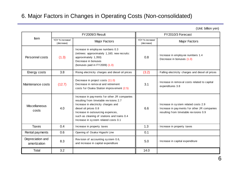# 6. Major Factors in Changes in Operating Costs (Non-consolidated)

(Unit: billion yen)

| <b>FY2009/3 Result</b><br>Item<br>YOY % increase/<br><b>Major Factors</b><br>(decrease) |        |                                                                                                                                                                                                                                                                                   | FY2010/3 Forecast             |                                                                                                                               |
|-----------------------------------------------------------------------------------------|--------|-----------------------------------------------------------------------------------------------------------------------------------------------------------------------------------------------------------------------------------------------------------------------------------|-------------------------------|-------------------------------------------------------------------------------------------------------------------------------|
|                                                                                         |        |                                                                                                                                                                                                                                                                                   | YOY % increase/<br>(decrease) | <b>Major Factors</b>                                                                                                          |
| Personnel costs                                                                         | (1.3)  | Increase in employ ee numbers 0.3<br>(retirees: approximately 1,160; new recruits:<br>approximately 1,350)<br>Decrease in bonuses<br>(bonuses paid in FY2009) (1.0)                                                                                                               | 0.8                           | Increase in employ ee numbers 1.4<br>Decrease in bonuses (1.0)                                                                |
| Energy costs                                                                            | 3.8    | Rising electricity charges and diesel oil prices                                                                                                                                                                                                                                  | (3.2)                         | Falling electricity charges and diesel oil prices                                                                             |
| Maintenance costs                                                                       | (12.7) | Decrease in project costs (11.0)<br>Decrease in removal and retirement<br>costs for Osaka Station improvement (2.5)                                                                                                                                                               | 3.1                           | Increase in removal costs related to capital<br>expenditures 3.8                                                              |
| <b>Miscellaneous</b><br>costs                                                           | 4.0    | Increase in payments for other JR companies<br>resulting from timetable revisions 2.7<br>Increase in electricity charges and<br>diesel oil prices 0.8<br>Increase in outsourcing expences,<br>such as cleaning of stations and trains 0.4<br>Increase in system related costs 0.1 | 6.6                           | Increase in system related costs 2.9<br>Increase in payments for other JR companies<br>resulting from timetable revisions 0.9 |
| <b>Taxes</b>                                                                            | 0.4    | Increase in property taxes                                                                                                                                                                                                                                                        | 1.3                           | Increase in property taxes                                                                                                    |
| Rental payments                                                                         | 0.6    | Opening of Osaka Higashi Line                                                                                                                                                                                                                                                     | 0.1                           |                                                                                                                               |
| Depreciation and<br>amortization                                                        | 8.3    | Revision of accounting system 0.6,<br>and increase in capital expenditure                                                                                                                                                                                                         | 5.0                           | Increase in capital expenditure                                                                                               |
| Total                                                                                   | 3.2    |                                                                                                                                                                                                                                                                                   | 14.0                          |                                                                                                                               |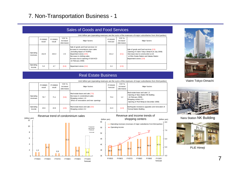# 7. Non-Transportation Business - 1

| Sales of Goods and Food Services |  |
|----------------------------------|--|
|----------------------------------|--|

|                       | Unit: billion yen (operating revenues are the sums of the revenues of major subsidiaries from third parties) |                    |                                  |                                                                                                                                                                                                                               |                      |                                  |                                                                                                                                                                                                      |
|-----------------------|--------------------------------------------------------------------------------------------------------------|--------------------|----------------------------------|-------------------------------------------------------------------------------------------------------------------------------------------------------------------------------------------------------------------------------|----------------------|----------------------------------|------------------------------------------------------------------------------------------------------------------------------------------------------------------------------------------------------|
|                       | FY2008/3<br>result                                                                                           | FY2009/3<br>result | YOY %<br>increase/<br>(decrease) | Major factors                                                                                                                                                                                                                 | FY2010/3<br>forecast | YOY %<br>increase/<br>(decrease) | Major factors                                                                                                                                                                                        |
| Operating<br>revenues | 212.8                                                                                                        | 215.3              | 2.5                              | Sale of goods and food services 3.2<br>Increase in convenience store sales<br>(including impact of TASPO)<br>Department stores (0.5)<br>Decrease in clothing sales<br>Increase due to opening of SUVACO<br>(in February 2008) | 211.2                | (4.1)                            | Sale of goods and food services (2.5)<br>Opening of Viainn Tokyo Oimachi (in July 2009)<br>Decrease due to construction w ork<br>at Shin-Osaka Station and Hakata Station<br>Department stores (2.9) |
| Operating<br>income   | 5.2                                                                                                          | 4.7                | (0.4)                            | Department stores (0.4)                                                                                                                                                                                                       | 2.4                  | (2.3)                            |                                                                                                                                                                                                      |

#### Real Estate Business

|                       | <u>UTILE DITION VEIT (OPERATING TEVELIUSS ARE THE SUITS OF THE REPORTUBIS OF ITIAIUL SUDSIGHERS IN THE DATEST </u> |                    |                                  |                                                                                                                                     |                      |                                  |                                                                                                                                                                  |
|-----------------------|--------------------------------------------------------------------------------------------------------------------|--------------------|----------------------------------|-------------------------------------------------------------------------------------------------------------------------------------|----------------------|----------------------------------|------------------------------------------------------------------------------------------------------------------------------------------------------------------|
|                       | FY2008/3<br>result                                                                                                 | FY2009/3<br>result | YOY %<br>increase/<br>(decrease) | Major factors                                                                                                                       | FY2010/3<br>forecast | YOY %<br>increase/<br>(decrease) | Major factors                                                                                                                                                    |
| Operating<br>revenues | 76.7                                                                                                               | 71.1               | (5.6)                            | Real estate lease and sale (7.5)<br>Decrease in condominium sales<br>Shopping centers 1.9<br>Effect of renovations and new openings | 72.4                 | 1.2                              | Real estate lease and sale 1.3<br>Opening of Nara Station NK Building<br>(in February 2009)<br>Shopping centers 0.5<br>Opening of PLiE Himeji (in December 2008) |
| Operating<br>income   | 24.6                                                                                                               | 22.6               | (2.0)                            | Real estate lease and sale (3.0)<br>Shopping centers 0.2                                                                            | 21.3                 | (1.3)                            | Earthquake resistance upgrades and renovation of<br><b>Tennoji Station Building</b>                                                                              |

#### Revenue trend of condominium sales





#### Revenue and income trends of

Unit: billion yen (operating revenues are the sums of the revenues of major subsidiaries from third parties)



Viainn Tokyo-Oimachi



Nara Station NK Building



PLiE Himeji

7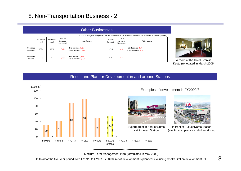# 8. Non-Transportation Business - 2

|                       | Other Businesses                                                                                             |                    |                                  |                                               |                      |                                  |                                               |  |
|-----------------------|--------------------------------------------------------------------------------------------------------------|--------------------|----------------------------------|-----------------------------------------------|----------------------|----------------------------------|-----------------------------------------------|--|
|                       | Unit: billion yen (operating revenues are the sums of the revenues of major subsidiaries from third parties) |                    |                                  |                                               |                      |                                  |                                               |  |
|                       | FY2008/3<br>result                                                                                           | FY2009/3<br>result | YOY %<br>increase/<br>(decrease) | Major factors                                 | FY2010/3<br>forecast | YOY %<br>increase/<br>(decrease) | Major factors                                 |  |
| Operating<br>revenues | 139.3                                                                                                        | 132.6              | (6.7)                            | Hotel business (1.5)<br>Travel business (3.1) | 127.8                | (4.8)                            | Hotel business (0.9)<br>Travel business (2.3) |  |
| Operating<br>income   | 11.0                                                                                                         | 6.7                | (4.3)                            | Hotel business (0.9)<br>Travel business (1.9) | 5.0                  | (1.7)                            |                                               |  |



A room at the Hotel Granvia Kyoto (renovated in March 2009)

#### Result and Plan for Development in and around Stations



Examples of development in FY2009/3



In front of Fukuchiyama Station (electrical appliance and other stores)

Medium-Term Management Plan (formulated in May 2008)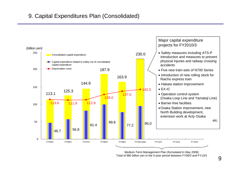# 9. Capital Expenditures Plan (Consolidated)



Medium-Term Management Plan (formulated in May 2008) Total of 980 billion yen in the 5-year period between FY09/3 and FY13/3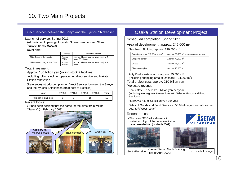# 10. Two Main Projects

#### Direct Services between the Sanyo and the Kyushu Shinkansen

Launch of service: Spring 2011 (At the time of opening of Kyushu Shinkansen between Shin-Yatsushiro and Hakata)

#### Travel time:

|                              | <b>Distance</b>   | Travel time (fastest)                                          |
|------------------------------|-------------------|----------------------------------------------------------------|
| Shin-Osaka to Kumamoto       | Approx.<br>774 km | Approx. 4 hours (current travel time) to 3<br>hours 20 minutes |
| Shin-Osaka to Kagoshima Chuo | Approx.<br>901 km | Approx. 5 hours (current travel time) to 4<br>hours            |

#### Total investment:

Approx. 100 billion yen (rolling stock + facilities)

Including rolling stock for operation on direct service and Hakata Station renovation

(Reference) Introduction plan for Direct Services between the Sanyo and the Kyushu Shinkansen (train-sets of 8 stocks)

| Year                 | FY09/3 | FY10/3 | $\mid$ FY11/3 $\mid$ FY12/3 |    | $\tau$ otal |
|----------------------|--------|--------|-----------------------------|----|-------------|
| Number of train-sets |        |        |                             | 18 | 19          |

Recent topics:

• It has been decided that the name for the direct train will be "Sakura" (in February 2009)



### Osaka Station Development Project

Scheduled completion: Spring 2011

Area of development: approx. 245,000 m2

New North Building: approx. 210,000 m2

| Department store (JR West Isetan) | Approx. $90,000 \text{ m}^2$ (Shopping area of 50,000 m <sup>2</sup> ) |
|-----------------------------------|------------------------------------------------------------------------|
| Shopping center                   | Approx. 40,000 m <sup>2</sup>                                          |
| Offices                           | Approx. 45,000 m <sup>2</sup>                                          |
| Cinema complex                    | Approx. 10,000 m <sup>2</sup>                                          |

Acty Osaka extension: + approx. 35,000 m2

(including shopping area at Daimaru +  $24.000$  m<sup>2</sup>)

Total project cost: approx. 210 billion yen

Projected revenue:

Real estate: 11.5 to 12.0 billion yen per year (including intersegment transactions with Sales of Goods and Food Services)

Railways: 4.5 to 5.5 billion yen per year

Sales of Goods and Food Services : 55.0 billion yen and above per year (JR West Isetan)

#### Recent topics:

• The name "JR Osaka Mitsukoshi Isetan" and logo of the department store have been decided (in March 2009)





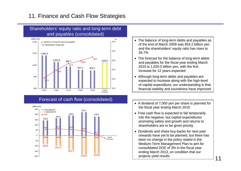# 11. Finance and Cash Flow Strategies





# Forecast of cash flow (consolidated)



- The balance of long-term debts and payables as of the end of March 2009 was 953.2 billion yen and the shareholders' equity ratio has risen to 26.7%
- The forecast for the balance of long-term debts and payables for the fiscal year ending March 2010 is 1,020.0 billion yen, with the first increase for 12 years expected
- Although long-term debts and payables are expected to increase along with the high-level of capital expenditure, our understanding is that financial stability and soundness have improved
- A dividend of 7,000 yen per share is planned for the fiscal year ending March 2010
- Free cash flow is expected to fall temporarily into the negative, but capital expenditures promoting safety and growth and returns to shareholders are to be given priority
- Dividends and share buy-backs for next year onwards have yet to be planned, but there has been no change in the policy stated in the Medium-Term Management Plan to aim for consolidated DOE of 3% in the fiscal year ending March 2013, on condition that our projects yield results